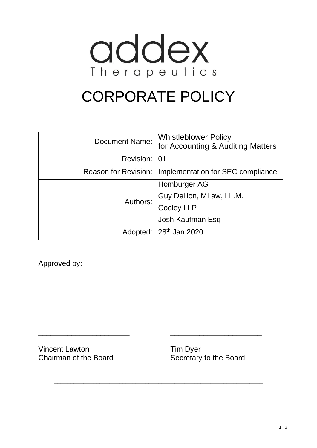

# CORPORATE POLICY

**\_\_\_\_\_\_\_\_\_\_\_\_\_\_\_\_\_\_\_\_\_\_\_\_\_\_\_\_\_\_\_\_\_\_\_\_\_\_\_\_\_\_\_\_\_\_\_\_\_\_\_\_\_\_\_\_\_\_\_\_\_\_\_\_**

| <b>Document Name:</b> | <b>Whistleblower Policy</b><br>for Accounting & Auditing Matters |
|-----------------------|------------------------------------------------------------------|
| Revision:             | 01                                                               |
|                       | Reason for Revision:   Implementation for SEC compliance         |
| Authors:              | Homburger AG                                                     |
|                       | Guy Deillon, MLaw, LL.M.<br>Cooley LLP<br>Josh Kaufman Esq       |
|                       |                                                                  |
|                       |                                                                  |
|                       | Adopted:   28 <sup>th</sup> Jan 2020                             |

\_\_\_\_\_\_\_\_\_\_\_\_\_\_\_\_\_\_\_\_\_\_ \_\_\_\_\_\_\_\_\_\_\_\_\_\_\_\_\_\_\_\_\_\_

**\_\_\_\_\_\_\_\_\_\_\_\_\_\_\_\_\_\_\_\_\_\_\_\_\_\_\_\_\_\_\_\_\_\_\_\_\_\_\_\_\_\_\_\_\_\_\_\_\_\_\_\_\_\_\_\_\_\_\_\_\_\_\_\_**

Approved by:

Vincent Lawton Tim Dyer

Chairman of the Board Secretary to the Board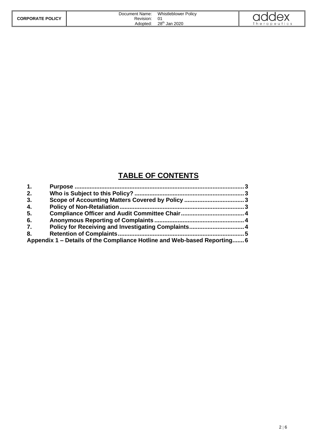|                         | Document Name: | <b>Whistleblower Policy</b> | addex       |
|-------------------------|----------------|-----------------------------|-------------|
| <b>CORPORATE POLICY</b> | Revision:      |                             |             |
|                         | Adopted:       | 28 <sup>th</sup> Jan 2020   | herapeutics |

## **TABLE OF CONTENTS**

| $\mathbf{1}$ . |                                                                          |  |
|----------------|--------------------------------------------------------------------------|--|
| 2.             |                                                                          |  |
| 3.             |                                                                          |  |
| 4.             |                                                                          |  |
| 5.             |                                                                          |  |
| 6.             |                                                                          |  |
| 7.             |                                                                          |  |
| 8.             |                                                                          |  |
|                | Appendix 1 – Details of the Compliance Hotline and Web-based Reporting 6 |  |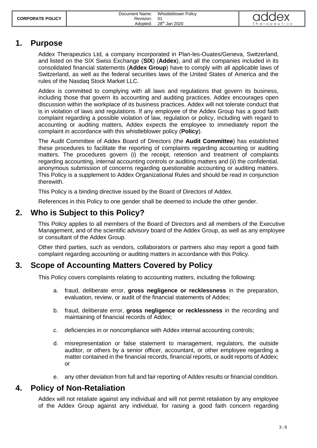| <b>CORPORATE POLICY</b> | Document Name:<br>Revision: | <b>Whistleblower Policy</b><br>- 01 | addex        |
|-------------------------|-----------------------------|-------------------------------------|--------------|
|                         | Adopted:                    | 28 <sup>th</sup> Jan 2020           | Therapeutics |

#### <span id="page-2-0"></span>**1. Purpose**

Addex Therapeutics Ltd, a company incorporated in Plan-les-Ouates/Geneva, Switzerland, and listed on the SIX Swiss Exchange (**SIX**) (**Addex**), and all the companies included in its consolidated financial statements (**Addex Group**) have to comply with all applicable laws of Switzerland, as well as the federal securities laws of the United States of America and the rules of the Nasdaq Stock Market LLC.

Addex is committed to complying with all laws and regulations that govern its business, including those that govern its accounting and auditing practices. Addex encourages open discussion within the workplace of its business practices. Addex will not tolerate conduct that is in violation of laws and regulations. If any employee of the Addex Group has a good faith complaint regarding a possible violation of law, regulation or policy, including with regard to accounting or auditing matters, Addex expects the employee to immediately report the complaint in accordance with this whistleblower policy (**Policy**).

The Audit Committee of Addex Board of Directors (the **Audit Committee**) has established these procedures to facilitate the reporting of complaints regarding accounting or auditing matters. The procedures govern (i) the receipt, retention and treatment of complaints regarding accounting, internal accounting controls or auditing matters and (ii) the confidential, anonymous submission of concerns regarding questionable accounting or auditing matters. This Policy is a supplement to Addex Organizational Rules and should be read in conjunction therewith.

This Policy is a binding directive issued by the Board of Directors of Addex.

<span id="page-2-1"></span>References in this Policy to one gender shall be deemed to include the other gender.

#### **2. Who is Subject to this Policy?**

This Policy applies to all members of the Board of Directors and all members of the Executive Management, and of the scientific advisory board of the Addex Group, as well as any employee or consultant of the Addex Group.

Other third parties, such as vendors, collaborators or partners also may report a good faith complaint regarding accounting or auditing matters in accordance with this Policy.

#### <span id="page-2-2"></span>**3. Scope of Accounting Matters Covered by Policy**

This Policy covers complaints relating to accounting matters, including the following:

- a. fraud, deliberate error, **gross negligence or recklessness** in the preparation, evaluation, review, or audit of the financial statements of Addex;
- b. fraud, deliberate error, **gross negligence or recklessness** in the recording and maintaining of financial records of Addex;
- c. deficiencies in or noncompliance with Addex internal accounting controls;
- d. misrepresentation or false statement to management, regulators, the outside auditor, or others by a senior officer, accountant, or other employee regarding a matter contained in the financial records, financial reports, or audit reports of Addex; or
- e. any other deviation from full and fair reporting of Addex results or financial condition.

#### <span id="page-2-3"></span>**4. Policy of Non-Retaliation**

Addex will not retaliate against any individual and will not permit retaliation by any employee of the Addex Group against any individual, for raising a good faith concern regarding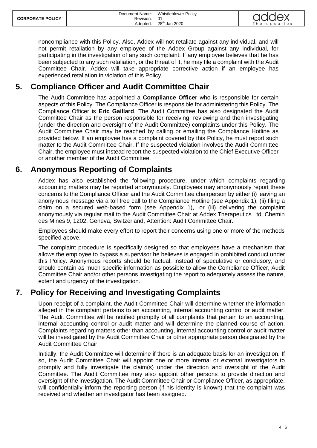| <b>CORPORATE POLICY</b> | Document Name:<br>Revision: 01 | Whistleblower Policy      | addex        |
|-------------------------|--------------------------------|---------------------------|--------------|
|                         | Adopted:                       | 28 <sup>th</sup> Jan 2020 | Therapeutics |

noncompliance with this Policy. Also, Addex will not retaliate against any individual, and will not permit retaliation by any employee of the Addex Group against any individual, for participating in the investigation of any such complaint. If any employee believes that he has been subjected to any such retaliation, or the threat of it, he may file a complaint with the Audit Committee Chair. Addex will take appropriate corrective action if an employee has experienced retaliation in violation of this Policy.

## <span id="page-3-0"></span>**5. Compliance Officer and Audit Committee Chair**

The Audit Committee has appointed a **Compliance Officer** who is responsible for certain aspects of this Policy. The Compliance Officer is responsible for administering this Policy. The Compliance Officer is **Eric Gaillard**. The Audit Committee has also designated the Audit Committee Chair as the person responsible for receiving, reviewing and then investigating (under the direction and oversight of the Audit Committee) complaints under this Policy. The Audit Committee Chair may be reached by calling or emailing the Compliance Hotline as provided below. If an employee has a complaint covered by this Policy, he must report such matter to the Audit Committee Chair. If the suspected violation involves the Audit Committee Chair, the employee must instead report the suspected violation to the Chief Executive Officer or another member of the Audit Committee.

### <span id="page-3-1"></span>**6. Anonymous Reporting of Complaints**

Addex has also established the following procedure, under which complaints regarding accounting matters may be reported anonymously. Employees may anonymously report these concerns to the Compliance Officer and the Audit Committee chairperson by either (i) leaving an anonymous message via a toll free call to the Compliance Hotline (see Appendix 1), (ii) filing a claim on a secured web-based form (see Appendix 1),, or (iii) delivering the complaint anonymously via regular mail to the Audit Committee Chair at Addex Therapeutics Ltd, Chemin des Mines 9, 1202, Geneva, Switzerland, Attention: Audit Committee Chair.

Employees should make every effort to report their concerns using one or more of the methods specified above.

The complaint procedure is specifically designed so that employees have a mechanism that allows the employee to bypass a supervisor he believes is engaged in prohibited conduct under this Policy. Anonymous reports should be factual, instead of speculative or conclusory, and should contain as much specific information as possible to allow the Compliance Officer, Audit Committee Chair and/or other persons investigating the report to adequately assess the nature, extent and urgency of the investigation.

## <span id="page-3-2"></span>**7. Policy for Receiving and Investigating Complaints**

Upon receipt of a complaint, the Audit Committee Chair will determine whether the information alleged in the complaint pertains to an accounting, internal accounting control or audit matter. The Audit Committee will be notified promptly of all complaints that pertain to an accounting, internal accounting control or audit matter and will determine the planned course of action. Complaints regarding matters other than accounting, internal accounting control or audit matter will be investigated by the Audit Committee Chair or other appropriate person designated by the Audit Committee Chair.

Initially, the Audit Committee will determine if there is an adequate basis for an investigation. If so, the Audit Committee Chair will appoint one or more internal or external investigators to promptly and fully investigate the claim(s) under the direction and oversight of the Audit Committee. The Audit Committee may also appoint other persons to provide direction and oversight of the investigation. The Audit Committee Chair or Compliance Officer, as appropriate, will confidentially inform the reporting person (if his identity is known) that the complaint was received and whether an investigator has been assigned.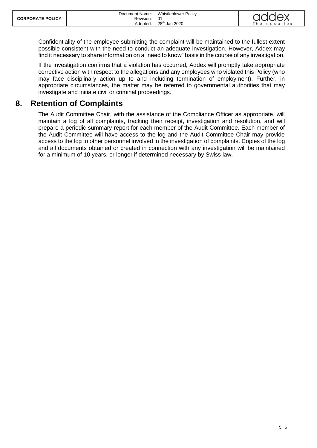| <b>CORPORATE POLICY</b> | Document Name:<br>Revision: | <b>Whistleblower Policy</b> | addex        |
|-------------------------|-----------------------------|-----------------------------|--------------|
|                         | Adopted:                    | 28 <sup>th</sup> Jan 2020   | Therapeutics |

Confidentiality of the employee submitting the complaint will be maintained to the fullest extent possible consistent with the need to conduct an adequate investigation. However, Addex may find it necessary to share information on a "need to know" basis in the course of any investigation.

If the investigation confirms that a violation has occurred, Addex will promptly take appropriate corrective action with respect to the allegations and any employees who violated this Policy (who may face disciplinary action up to and including termination of employment). Further, in appropriate circumstances, the matter may be referred to governmental authorities that may investigate and initiate civil or criminal proceedings.

### <span id="page-4-0"></span>**8. Retention of Complaints**

<span id="page-4-1"></span>The Audit Committee Chair, with the assistance of the Compliance Officer as appropriate, will maintain a log of all complaints, tracking their receipt, investigation and resolution, and will prepare a periodic summary report for each member of the Audit Committee. Each member of the Audit Committee will have access to the log and the Audit Committee Chair may provide access to the log to other personnel involved in the investigation of complaints. Copies of the log and all documents obtained or created in connection with any investigation will be maintained for a minimum of 10 years, or longer if determined necessary by Swiss law.